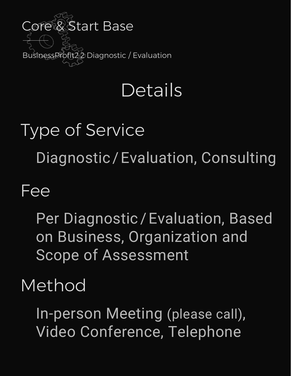

## **Details**

# Type of Service Diagnostic / Evaluation, Consulting

#### Fee

Per Diagnostic/Evaluation, Based on Business, Organization and Scope of Assessment

### Method

In-person Meeting (please call), Video Conference, Telephone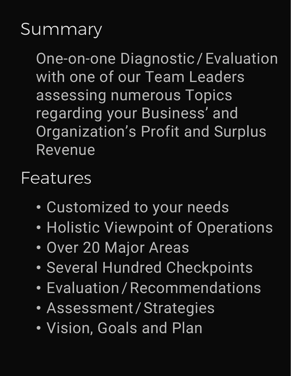#### **Summary**

One-on-one Diagnostic / Evaluation with one of our Team Leaders assessing numerous Topics regarding your Business' and Organization's Profit and Surplus Revenue

#### Features

- Customized to your needs
- Holistic Viewpoint of Operations
- Over 20 Major Areas
- Several Hundred Checkpoints
- Evaluation / Recommendations
- Assessment / Strategies
- Vision, Goals and Plan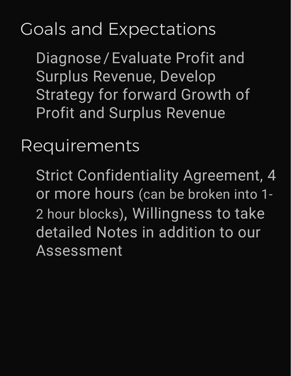## Goals and Expectations

Diagnose/Evaluate Profit and Surplus Revenue, Develop Strategy for forward Growth of Profit and Surplus Revenue

Requirements

Strict Confidentiality Agreement, 4 or more hours (can be broken into 1- 2 hour blocks), Willingness to take detailed Notes in addition to our Assessment